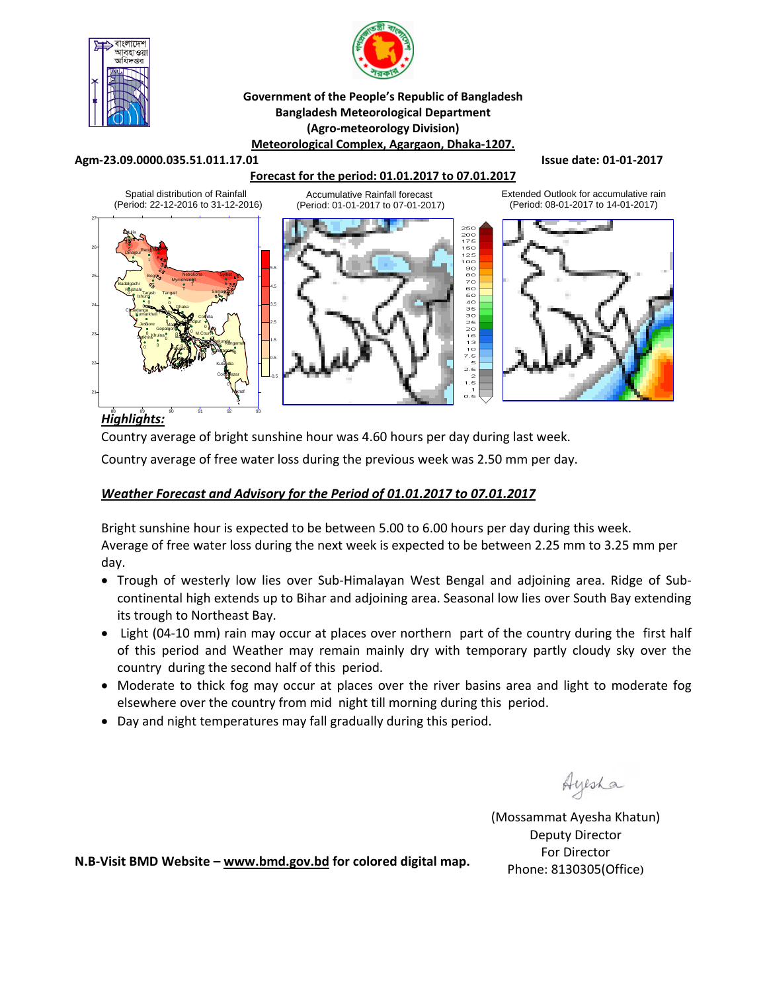



#### **Government of the People's Republic of Bangladesh Bangladesh Meteorological Department (Agro‐meteorology Division) Meteorological Complex, Agargaon, Dhaka‐1207.**

#### **Agm‐23.09.0000.035.51.011.17.01 Issue date: 01‐01‐2017**

### **Forecast for the period: 01.01.2017 to 07.01.2017**



# *Highlights:* 88 89 90 91 92 93

Country average of bright sunshine hour was 4.60 hours per day during last week.

Country average of free water loss during the previous week was 2.50 mm per day.

### *Weather Forecast and Advisory for the Period of 01.01.2017 to 07.01.2017*

Bright sunshine hour is expected to be between 5.00 to 6.00 hours per day during this week. Average of free water loss during the next week is expected to be between 2.25 mm to 3.25 mm per day.

- Trough of westerly low lies over Sub-Himalayan West Bengal and adjoining area. Ridge of Subcontinental high extends up to Bihar and adjoining area. Seasonal low lies over South Bay extending its trough to Northeast Bay.
- Light (04‐10 mm) rain may occur at places over northern part of the country during the first half of this period and Weather may remain mainly dry with temporary partly cloudy sky over the country during the second half of this period.
- Moderate to thick fog may occur at places over the river basins area and light to moderate fog elsewhere over the country from mid night till morning during this period.
- Day and night temperatures may fall gradually during this period.

Ayesha

(Mossammat Ayesha Khatun) Deputy Director For Director Phone: 8130305(Office)

**N.B‐Visit BMD Website – www.bmd.gov.bd for colored digital map.**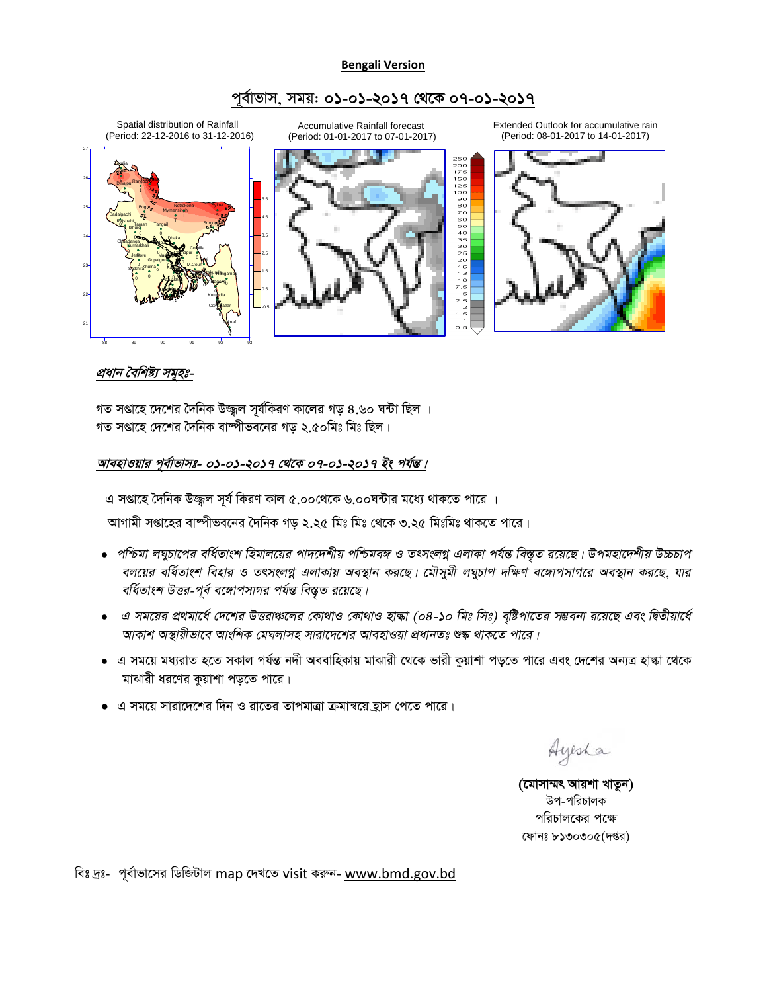#### **Bengali Version**

## পূৰ্বাভাস, সময়: **০১-০১-২০১৭ থেকে ০৭-০১-২০১৭**

Spatial distribution of Rainfall (Period: 22-12-2016 to 31-12-2016) 27



Accumulative Rainfall forecast (Period: 01-01-2017 to 07-01-2017)



Extended Outlook for accumulative rain (Period: 08-01-2017 to 14-01-2017)



# <u>প্রধান বৈশিষ্ট্য সমূহঃ-</u>

গত সপ্তাহে দেশের দৈনিক উজ্জ্বল সূর্যকিরণ কালের গড় ৪.৬০ ঘন্টা ছিল । গত সপ্তাহে দেশের দৈনিক বাম্পীভবনের গড় ২.৫০মিঃ মিঃ ছিল।

### আবহাওয়ার পূর্বাভাসঃ- ০**১**-০**১-২০১৭ থেকে ০৭-০১-২০১৭ ইং পর্যন্ত**।

এ সপ্তাহে দৈনিক উজ্জুল সূর্য কিরণ কাল ৫.০০থেকে ৬.০০ঘন্টার মধ্যে থাকতে পারে ।

আগামী সপ্তাহের বাষ্পীভবনের দৈনিক গড় ২.২৫ মিঃ মিঃ থেকে ৩.২৫ মিঃমিঃ থাকতে পারে।

- $\bullet$  পশ্চিমা লঘুচাপের বর্ধিতাংশ হিমালয়ের পাদদেশীয় পশ্চিমবঙ্গ ও তৎসংলগ্ন এলাকা পর্যন্ত বিস্তৃত রয়েছে। উপমহাদেশীয় উচ্চচাপ বলয়ের বর্ধিতাংশ বিহার ও তৎসংলগ্ন এলাকায় অবস্থান করছে। মৌসুমী লঘুচাপ দক্ষিণ বঙ্গোপসাগরে অবস্থান করছে, যার বর্ধিতাংশ উত্তর-পূর্ব বঙ্গোপসাগর পর্যন্ত বিস্তৃত রয়েছে।
- $\bullet$  এ সময়ের প্রথমার্ধে দেশের উত্তরাঞ্চলের কোথাও কোথাও হাল্কা (০৪-১০ মিঃ সিঃ) বৃষ্টিপাতের সম্ভবনা রয়েছে এবং দিতীয়ার্ধে *আকাশ অস্থায়ীভাবে আংশিক মেঘলাসহ সারাদেশের আবহাওয়া প্রধানতঃ* শুষ্ক *থাকতে পারে।*
- এ সময়ে মধ্যরাত হতে সকাল পর্যন্ত নদী অববাহিকায় মাঝারী থেকে ভারী কুয়াশা পড়তে পারে এবং দেশের অন্যত্র হাল্কা থেকে মাঝারী ধরণের কুয়াশা পড়তে পারে।
- $\bullet$  এ সময়ে সারাদেশের দিন ও রাতের তাপমাত্রা ক্রমান্বয়ে হ্রাস পেতে পারে।

Ayesha

(মোসাম্মৎ আয়শা খাতুন) উপ-পরিচালক পরিচালকের পক্ষে ফোনঃ ৮১৩০৩০৫(দপ্তর)

বিঃ দ্রঃ- পূর্বাভাসের ডিজিটাল map দেখতে visit করুন- www.bmd.gov.bd